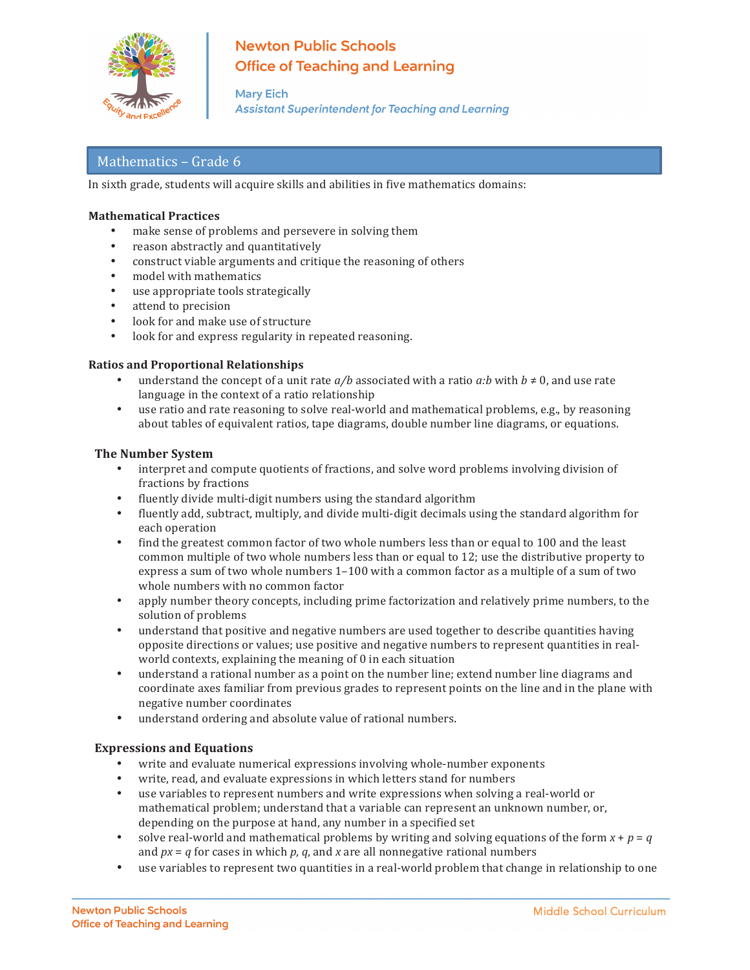

# **Newton Public Schools Office of Teaching and Learning**

**Mary Eich Assistant Superintendent for Teaching and Learning** 

# Mathematics - Grade 6

In sixth grade, students will acquire skills and abilities in five mathematics domains:

## **Mathematical Practices**

- make sense of problems and persevere in solving them
- reason abstractly and quantitatively
- construct viable arguments and critique the reasoning of others
- model with mathematics
- use appropriate tools strategically
- attend to precision
- look for and make use of structure
- look for and express regularity in repeated reasoning.

#### **Ratios and Proportional Relationships**

- understand the concept of a unit rate  $a/b$  associated with a ratio  $a:b$  with  $b \ne 0$ , and use rate language in the context of a ratio relationship
- use ratio and rate reasoning to solve real-world and mathematical problems, e.g., by reasoning about tables of equivalent ratios, tape diagrams, double number line diagrams, or equations.

#### **The Number System**

- interpret and compute quotients of fractions, and solve word problems involving division of fractions by fractions
- fluently divide multi-digit numbers using the standard algorithm<br>• fluently add subtract multiply and divide multi-digit decimals us
- fluently add, subtract, multiply, and divide multi-digit decimals using the standard algorithm for each operation
- find the greatest common factor of two whole numbers less than or equal to 100 and the least common multiple of two whole numbers less than or equal to 12; use the distributive property to express a sum of two whole numbers  $1-100$  with a common factor as a multiple of a sum of two whole numbers with no common factor
- apply number theory concepts, including prime factorization and relatively prime numbers, to the solution of problems
- understand that positive and negative numbers are used together to describe quantities having opposite directions or values; use positive and negative numbers to represent quantities in realworld contexts, explaining the meaning of  $0$  in each situation
- understand a rational number as a point on the number line; extend number line diagrams and coordinate axes familiar from previous grades to represent points on the line and in the plane with negative number coordinates
- understand ordering and absolute value of rational numbers.

### **Expressions and Equations**

- write and evaluate numerical expressions involving whole-number exponents
- write, read, and evaluate expressions in which letters stand for numbers
- use variables to represent numbers and write expressions when solving a real-world or mathematical problem; understand that a variable can represent an unknown number, or, depending on the purpose at hand, any number in a specified set
- solve real-world and mathematical problems by writing and solving equations of the form  $x + p = q$ and  $px = q$  for cases in which  $p$ ,  $q$ , and  $x$  are all nonnegative rational numbers
- use variables to represent two quantities in a real-world problem that change in relationship to one